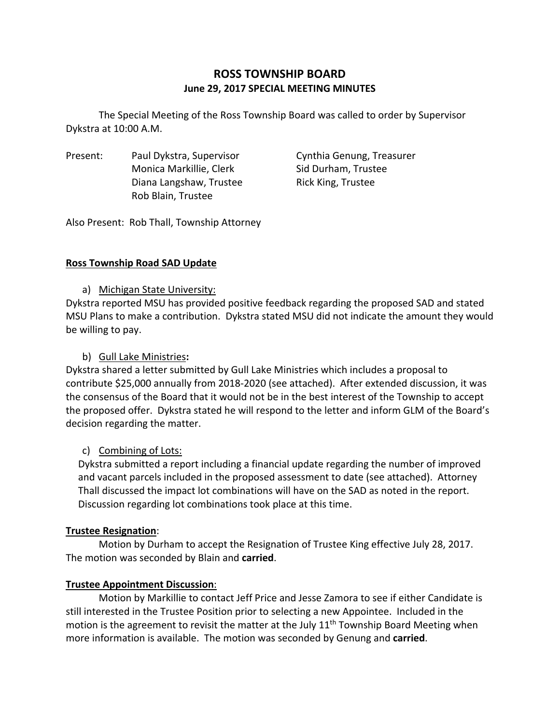# **ROSS TOWNSHIP BOARD June 29, 2017 SPECIAL MEETING MINUTES**

The Special Meeting of the Ross Township Board was called to order by Supervisor Dykstra at 10:00 A.M.

Present: Paul Dykstra, Supervisor Cynthia Genung, Treasurer Monica Markillie, Clerk Sid Durham, Trustee Diana Langshaw, Trustee **Rick King, Trustee** Rob Blain, Trustee

Also Present: Rob Thall, Township Attorney

### **Ross Township Road SAD Update**

a) Michigan State University:

Dykstra reported MSU has provided positive feedback regarding the proposed SAD and stated MSU Plans to make a contribution. Dykstra stated MSU did not indicate the amount they would be willing to pay.

### b) Gull Lake Ministries**:**

Dykstra shared a letter submitted by Gull Lake Ministries which includes a proposal to contribute \$25,000 annually from 2018‐2020 (see attached). After extended discussion, it was the consensus of the Board that it would not be in the best interest of the Township to accept the proposed offer. Dykstra stated he will respond to the letter and inform GLM of the Board's decision regarding the matter.

# c) Combining of Lots:

Dykstra submitted a report including a financial update regarding the number of improved and vacant parcels included in the proposed assessment to date (see attached). Attorney Thall discussed the impact lot combinations will have on the SAD as noted in the report. Discussion regarding lot combinations took place at this time.

# **Trustee Resignation**:

Motion by Durham to accept the Resignation of Trustee King effective July 28, 2017. The motion was seconded by Blain and **carried**.

### **Trustee Appointment Discussion**:

Motion by Markillie to contact Jeff Price and Jesse Zamora to see if either Candidate is still interested in the Trustee Position prior to selecting a new Appointee. Included in the motion is the agreement to revisit the matter at the July 11<sup>th</sup> Township Board Meeting when more information is available. The motion was seconded by Genung and **carried**.